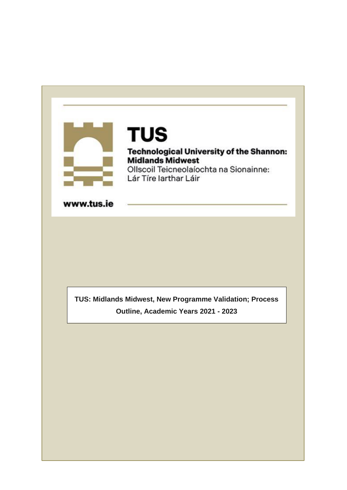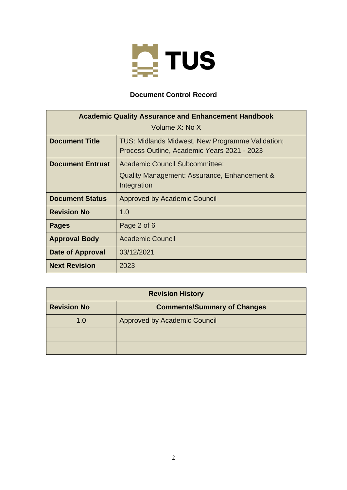

# **Document Control Record**

| <b>Academic Quality Assurance and Enhancement Handbook</b> |                                                                                                 |
|------------------------------------------------------------|-------------------------------------------------------------------------------------------------|
| Volume X: No X                                             |                                                                                                 |
| <b>Document Title</b>                                      | TUS: Midlands Midwest, New Programme Validation;<br>Process Outline, Academic Years 2021 - 2023 |
| <b>Document Entrust</b>                                    | <b>Academic Council Subcommittee:</b>                                                           |
|                                                            | Quality Management: Assurance, Enhancement &<br>Integration                                     |
| <b>Document Status</b>                                     | Approved by Academic Council                                                                    |
| <b>Revision No</b>                                         | 1.0                                                                                             |
| <b>Pages</b>                                               | Page 2 of 6                                                                                     |
| <b>Approval Body</b>                                       | <b>Academic Council</b>                                                                         |
| Date of Approval                                           | 03/12/2021                                                                                      |
| <b>Next Revision</b>                                       | 2023                                                                                            |

| <b>Revision History</b> |                                    |
|-------------------------|------------------------------------|
| <b>Revision No</b>      | <b>Comments/Summary of Changes</b> |
| 1.0                     | Approved by Academic Council       |
|                         |                                    |
|                         |                                    |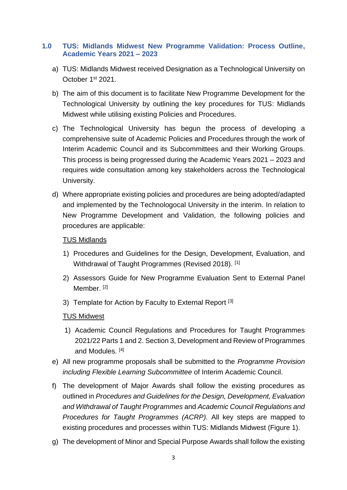### **1.0 TUS: Midlands Midwest New Programme Validation: Process Outline, Academic Years 2021 – 2023**

- a) TUS: Midlands Midwest received Designation as a Technological University on October 1st 2021.
- b) The aim of this document is to facilitate New Programme Development for the Technological University by outlining the key procedures for TUS: Midlands Midwest while utilising existing Policies and Procedures.
- c) The Technological University has begun the process of developing a comprehensive suite of Academic Policies and Procedures through the work of Interim Academic Council and its Subcommittees and their Working Groups. This process is being progressed during the Academic Years 2021 – 2023 and requires wide consultation among key stakeholders across the Technological University.
- d) Where appropriate existing policies and procedures are being adopted/adapted and implemented by the Technologocal University in the interim. In relation to New Programme Development and Validation, the following policies and procedures are applicable:

#### TUS Midlands

- 1) Procedures and Guidelines for the Design, Development, Evaluation, and Withdrawal of Taught Programmes (Revised 2018). [1]
- 2) Assessors Guide for New Programme Evaluation Sent to External Panel Member.<sup>[2]</sup>
- 3) Template for Action by Faculty to External Report [3]

## TUS Midwest

- 1) Academic Council Regulations and Procedures for Taught Programmes 2021/22 Parts 1 and 2. Section 3, Development and Review of Programmes and Modules. [4]
- e) All new programme proposals shall be submitted to the *Programme Provision including Flexible Learning Subcommittee* of Interim Academic Council.
- f) The development of Major Awards shall follow the existing procedures as outlined in *Procedures and Guidelines for the Design, Development, Evaluation and Withdrawal of Taught Programmes* and *Academic Council Regulations and Procedures for Taught Programmes (ACRP).* All key steps are mapped to existing procedures and processes within TUS: Midlands Midwest (Figure 1).
- g) The development of Minor and Special Purpose Awards shall follow the existing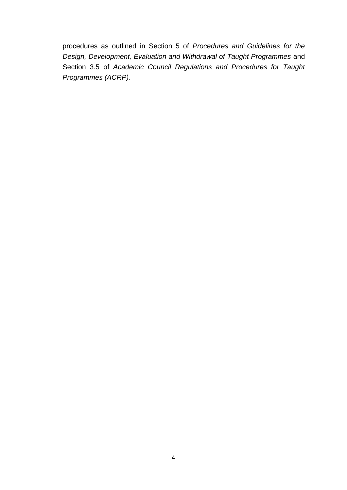procedures as outlined in Section 5 of *Procedures and Guidelines for the Design, Development, Evaluation and Withdrawal of Taught Programmes* and Section 3.5 of *Academic Council Regulations and Procedures for Taught Programmes (ACRP).*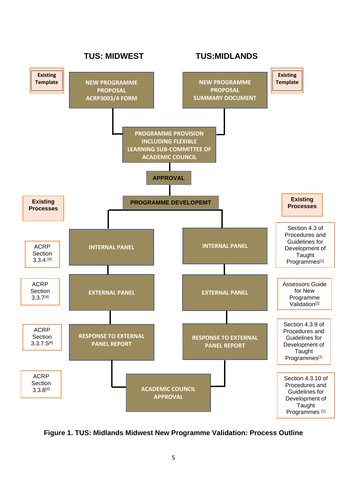

**Figure 1. TUS: Midlands Midwest New Programme Validation: Process Outline**